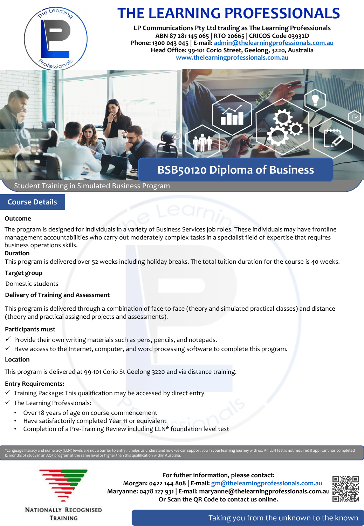

# **THE LEARNING PROFESSIONALS**

**LP Communications Pty Ltd trading as The Learning Professionals ABN 87 281 145 065 | RTO 20665 | CRICOS Code 03932D Phone: 1300 043 045 | E-mail: [admin@thelearningprofessionals.com.au](mailto:admin@thelearningprofessionals.com.au) Head Office: 99-101 Corio Street, Geelong, 3220, Australia [www.thelearningprofessionals.com.au](http://www.thelearningprofessionals.com.au/)**



Student Training in Simulated Business Program

# **Course Details**

### **Outcome**

The program is designed for individuals in a variety of Business Services job roles. These individuals may have frontline management accountabilities who carry out moderately complex tasks in a specialist field of expertise that requires business operations skills.

### **Duration**

This program is delivered over 52 weeks including holiday breaks. The total tuition duration for the course is 40 weeks.

### **Target group**

Domestic students

### **Delivery of Training and Assessment**

This program is delivered through a combination of face-to-face (theory and simulated practical classes) and distance (theory and practical assigned projects and assessments).

### **Participants must**

- $\checkmark$  Provide their own writing materials such as pens, pencils, and notepads.
- $\checkmark$  Have access to the Internet, computer, and word processing software to complete this program.

### **Location**

This program is delivered at 99-101 Corio St Geelong 3220 and via distance training.

# **Entry Requirements:**

- $\checkmark$  Training Package: This qualification may be accessed by direct entry
- $\checkmark$  The Learning Professionals:
	- Over 18 years of age on course commencement
	- Have satisfactorily completed Year 11 or equivalent
	- Completion of a Pre-Training Review including LLN\* foundation level test

12 months of study in an AQF program at the same level or higher than this qualification within Australia.



**For futher information, please contact: Morgan: 0422 144 808 | E-mail: [gm@thelearningprofessionals.com.au](mailto:gm@thelearningprofessionals.com.au) Maryanne: 0478 127 931 | E-mail: maryanne@thelearningprofessionals.com.au Or Scan the QR Code to contact us online.**



**NATIONALLY RECOGNISED** TRAINING

Taking you from the unknown to the known